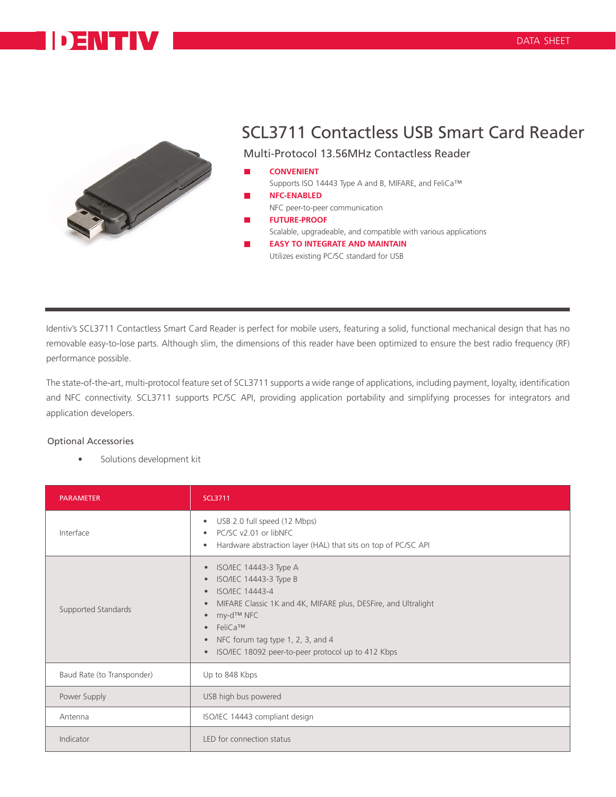## **DENTIV**



## SCL3711 Contactless USB Smart Card Reader

Multi-Protocol 13.56MHz Contactless Reader

- **CONVENIENT** Supports ISO 14443 Type A and B, MIFARE, and FeliCa™ **NFC-ENABLED**
	- NFC peer-to-peer communication
	- **FUTURE-PROOF**
	- Scalable, upgradeable, and compatible with various applications
	- **EASY TO INTEGRATE AND MAINTAIN** Utilizes existing PC/SC standard for USB

Identiv's SCL3711 Contactless Smart Card Reader is perfect for mobile users, featuring a solid, functional mechanical design that has no removable easy-to-lose parts. Although slim, the dimensions of this reader have been optimized to ensure the best radio frequency (RF) performance possible.

The state-of-the-art, multi-protocol feature set of SCL3711 supports a wide range of applications, including payment, loyalty, identification and NFC connectivity. SCL3711 supports PC/SC API, providing application portability and simplifying processes for integrators and application developers.

## Optional Accessories

Solutions development kit

| <b>PARAMETER</b>           | <b>SCL3711</b>                                                                                                                                                                                                                                                                                                                                                                    |
|----------------------------|-----------------------------------------------------------------------------------------------------------------------------------------------------------------------------------------------------------------------------------------------------------------------------------------------------------------------------------------------------------------------------------|
| Interface                  | USB 2.0 full speed (12 Mbps)<br>$\bullet$<br>PC/SC v2.01 or libNFC<br>$\bullet$<br>Hardware abstraction layer (HAL) that sits on top of PC/SC API<br>$\bullet$                                                                                                                                                                                                                    |
| Supported Standards        | ISO/IEC 14443-3 Type A<br>$\bullet$<br>ISO/IEC 14443-3 Type B<br>$\bullet$<br><b>ISO/IEC 14443-4</b><br>$\bullet$<br>MIFARE Classic 1K and 4K, MIFARE plus, DESFire, and Ultralight<br>$\bullet$<br>my-d™ NFC<br>$\bullet$<br>$\bullet$ FeliCa <sup>TM</sup><br>NFC forum tag type 1, 2, 3, and 4<br>$\bullet$<br>ISO/IEC 18092 peer-to-peer protocol up to 412 Kbps<br>$\bullet$ |
| Baud Rate (to Transponder) | Up to 848 Kbps                                                                                                                                                                                                                                                                                                                                                                    |
| Power Supply               | USB high bus powered                                                                                                                                                                                                                                                                                                                                                              |
| Antenna                    | ISO/IEC 14443 compliant design                                                                                                                                                                                                                                                                                                                                                    |
| Indicator                  | LED for connection status                                                                                                                                                                                                                                                                                                                                                         |